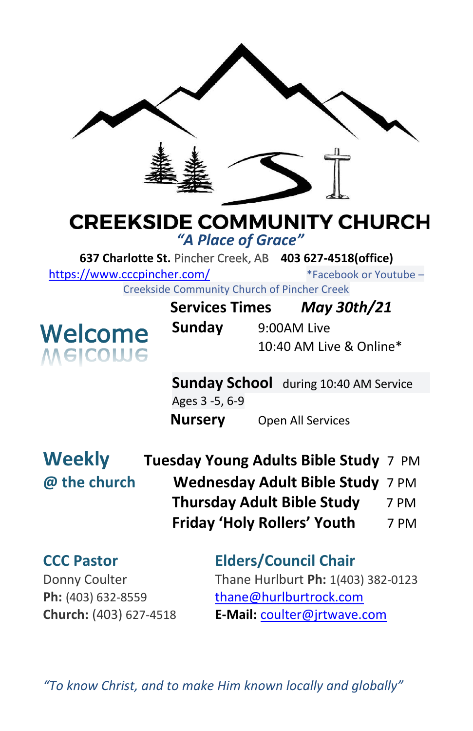

# **CREEKSIDE COMMUNITY CHURCH**

*"A Place of Grace"*

**637 Charlotte St.** Pincher Creek, AB **403 627-4518(office)** 

<https://www.cccpincher.com/>\*Facebook or Youtube –

Creekside Community Church of Pincher Creek



| Community Charge of Findical Creek |             |                         |
|------------------------------------|-------------|-------------------------|
| <b>Services Times</b>              |             | <b>May 30th/21</b>      |
| Sunday                             | 9:00AM Live |                         |
|                                    |             | 10:40 AM Live & Online* |

**Sunday School** during 10:40 AM Service Ages 3 -5, 6-9 **Nursery** Open All Services

**Weekly @ the church** 

| Tuesday Young Adults Bible Study 7 PM |      |
|---------------------------------------|------|
| Wednesday Adult Bible Study 7 PM      |      |
| <b>Thursday Adult Bible Study</b>     | 7 PM |
| <b>Friday 'Holy Rollers' Youth</b>    | 7 PM |

**CCC Pastor Elders/Council Chair** Donny Coulter Thane Hurlburt **Ph:** 1(403) 382-0123 Ph: (403) 632-8559 [thane@hurlburtrock.com](mailto:thane@hurlburtrock.com) **Church:** (403) 627-4518 **E-Mail:** [coulter@jrtwave.com](mailto:coulter@jrtwave.com)

*"To know Christ, and to make Him known locally and globally"*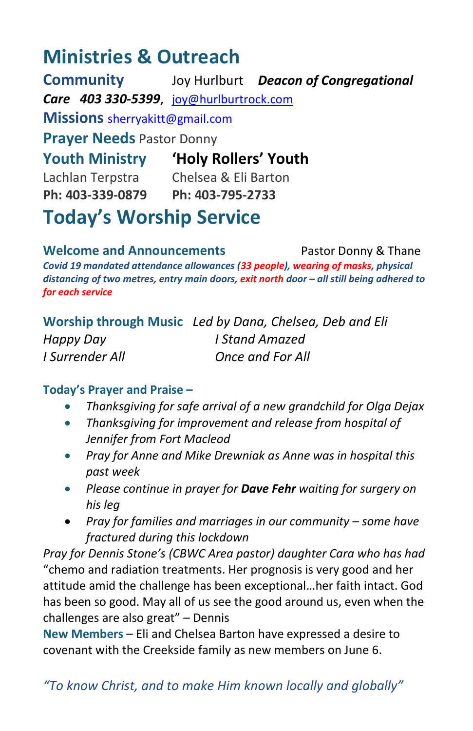## **Ministries & Outreach**

**Community** Joy Hurlburt *Deacon of Congregational Care 403 330-5399*, [joy@hurlburtrock.com](mailto:joy@hurlburtrock.com) **Missions** [sherryakitt@gmail.com](mailto:sherryakitt@gmail.com) **Prayer Needs** Pastor Donny **Youth Ministry 'Holy Rollers' Youth** Lachlan Terpstra Chelsea & Eli Barton **Ph: 403-339-0879 Ph: 403-795-2733**

**Today's Worship Service**

**Welcome and Announcements** Pastor Donny & Thane *Covid 19 mandated attendance allowances (33 people), wearing of masks, physical distancing of two metres, entry main doors, exit north door – all still being adhered to for each service*

|                 | Worship through Music Led by Dana, Chelsea, Deb and Eli |
|-----------------|---------------------------------------------------------|
| Happy Day       | I Stand Amazed                                          |
| I Surrender All | Once and For All                                        |

### **Today's Prayer and Praise –**

- *Thanksgiving for safe arrival of a new grandchild for Olga Dejax*
- *Thanksgiving for improvement and release from hospital of Jennifer from Fort Macleod*
- *Pray for Anne and Mike Drewniak as Anne was in hospital this past week*
- *Please continue in prayer for Dave Fehr waiting for surgery on his leg*
- Pray for families and marriages in our community some have *fractured during this lockdown*

*Pray for Dennis Stone's (CBWC Area pastor) daughter Cara who has had* "chemo and radiation treatments. Her prognosis is very good and her attitude amid the challenge has been exceptional…her faith intact. God has been so good. May all of us see the good around us, even when the challenges are also great" – Dennis

**New Members** – Eli and Chelsea Barton have expressed a desire to covenant with the Creekside family as new members on June 6.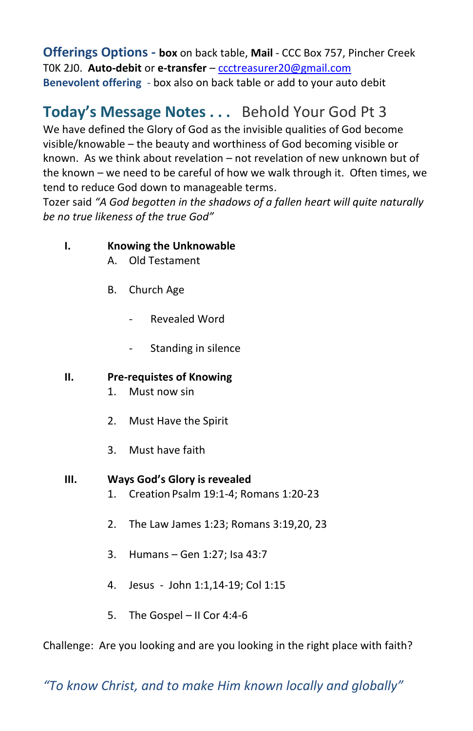**Offerings Options - box** on back table, **Mail** - CCC Box 757, Pincher Creek T0K 2J0. **Auto-debit** or **e-transfer** – [ccctreasurer20@gmail.com](mailto:ccctreasurer20@gmail.com) **Benevolent offering** - box also on back table or add to your auto debit

### **Today's Message Notes . . .** Behold Your God Pt 3

We have defined the Glory of God as the invisible qualities of God become visible/knowable – the beauty and worthiness of God becoming visible or known. As we think about revelation – not revelation of new unknown but of the known – we need to be careful of how we walk through it. Often times, we tend to reduce God down to manageable terms.

Tozer said *"A God begotten in the shadows of a fallen heart will quite naturally be no true likeness of the true God"*

#### **I. Knowing the Unknowable**

- A. Old Testament
- B. Church Age
	- Revealed Word
	- Standing in silence

#### **II. Pre-requistes of Knowing**

- 1. Must now sin
- 2. Must Have the Spirit
- 3. Must have faith

#### **III. Ways God's Glory is revealed**

- 1. Creation Psalm 19:1-4; Romans 1:20-23
- 2. The Law James 1:23; Romans 3:19,20, 23
- 3. Humans Gen 1:27; Isa 43:7
- 4. Jesus John 1:1,14-19; Col 1:15
- 5. The Gospel II Cor 4:4-6

Challenge: Are you looking and are you looking in the right place with faith?

*"To know Christ, and to make Him known locally and globally"*